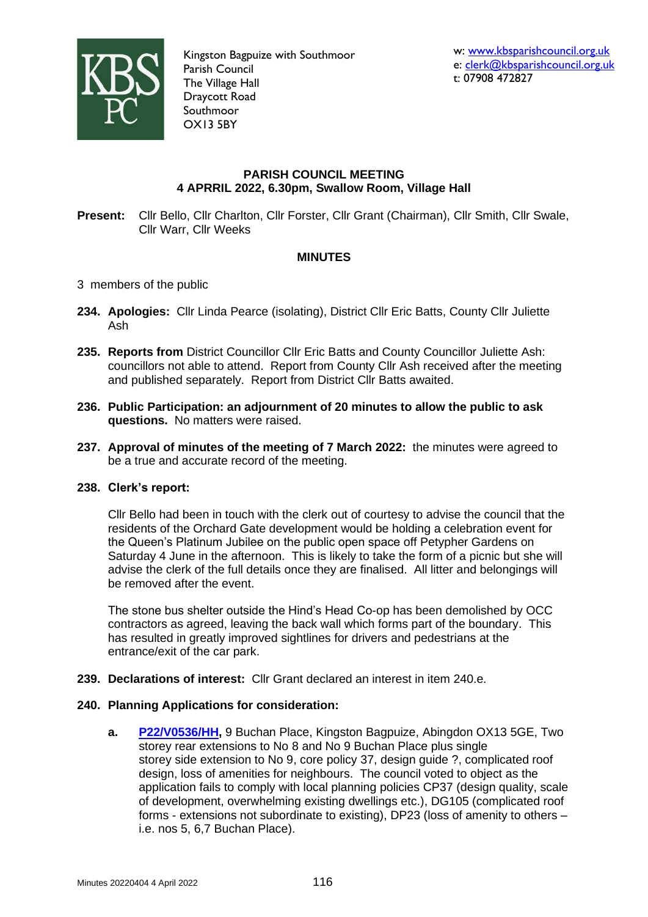

Kingston Bagpuize with Southmoor Parish Council The Village Hall Draycott Road Southmoor OX13 5BY

# **PARISH COUNCIL MEETING 4 APRRIL 2022, 6.30pm, Swallow Room, Village Hall**

**Present:** Cllr Bello, Cllr Charlton, Cllr Forster, Cllr Grant (Chairman), Cllr Smith, Cllr Swale, Cllr Warr, Cllr Weeks

# **MINUTES**

- 3 members of the public
- **234. Apologies:** Cllr Linda Pearce (isolating), District Cllr Eric Batts, County Cllr Juliette Ash
- **235. Reports from** District Councillor Cllr Eric Batts and County Councillor Juliette Ash: councillors not able to attend. Report from County Cllr Ash received after the meeting and published separately. Report from District Cllr Batts awaited.
- **236. Public Participation: an adjournment of 20 minutes to allow the public to ask questions.** No matters were raised.
- **237. Approval of minutes of the meeting of 7 March 2022:** the minutes were agreed to be a true and accurate record of the meeting.

### **238. Clerk's report:**

Cllr Bello had been in touch with the clerk out of courtesy to advise the council that the residents of the Orchard Gate development would be holding a celebration event for the Queen's Platinum Jubilee on the public open space off Petypher Gardens on Saturday 4 June in the afternoon. This is likely to take the form of a picnic but she will advise the clerk of the full details once they are finalised. All litter and belongings will be removed after the event.

The stone bus shelter outside the Hind's Head Co-op has been demolished by OCC contractors as agreed, leaving the back wall which forms part of the boundary. This has resulted in greatly improved sightlines for drivers and pedestrians at the entrance/exit of the car park.

**239. Declarations of interest:** Cllr Grant declared an interest in item 240.e.

### **240. Planning Applications for consideration:**

**a. [P22/V0536/HH,](https://data.whitehorsedc.gov.uk/java/support/Main.jsp?MODULE=ApplicationDetails&REF=P22/V0536/HH)** 9 Buchan Place, Kingston Bagpuize, Abingdon OX13 5GE, Two storey rear extensions to No 8 and No 9 Buchan Place plus single storey side extension to No 9, core policy 37, design guide ?, complicated roof design, loss of amenities for neighbours. The council voted to object as the application fails to comply with local planning policies CP37 (design quality, scale of development, overwhelming existing dwellings etc.), DG105 (complicated roof forms - extensions not subordinate to existing), DP23 (loss of amenity to others – i.e. nos 5, 6,7 Buchan Place).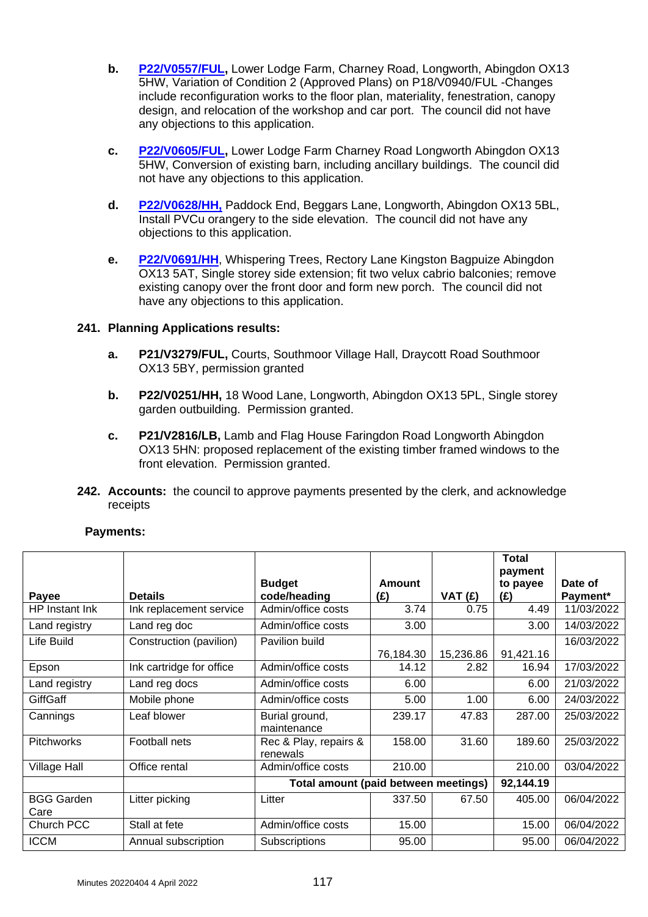- **b. [P22/V0557/FUL,](https://data.whitehorsedc.gov.uk/java/support/Main.jsp?MODULE=ApplicationDetails&REF=P22/V0557/FUL)** Lower Lodge Farm, Charney Road, Longworth, Abingdon OX13 5HW, Variation of Condition 2 (Approved Plans) on P18/V0940/FUL -Changes include reconfiguration works to the floor plan, materiality, fenestration, canopy design, and relocation of the workshop and car port. The council did not have any objections to this application.
- **c. [P22/V0605/FUL,](https://data.whitehorsedc.gov.uk/java/support/Main.jsp?MODULE=ApplicationDetails&REF=P22/V0605/FUL)** Lower Lodge Farm Charney Road Longworth Abingdon OX13 5HW, Conversion of existing barn, including ancillary buildings. The council did not have any objections to this application.
- **d. [P22/V0628/HH,](https://data.whitehorsedc.gov.uk/java/support/Main.jsp?MODULE=ApplicationDetails&REF=P22/V0628/HH)** Paddock End, Beggars Lane, Longworth, Abingdon OX13 5BL, Install PVCu orangery to the side elevation. The council did not have any objections to this application.
- **e. [P22/V0691/HH](https://data.whitehorsedc.gov.uk/java/support/Main.jsp?MODULE=ApplicationDetails&REF=P22/V0691/HH)**, Whispering Trees, Rectory Lane Kingston Bagpuize Abingdon OX13 5AT, Single storey side extension; fit two velux cabrio balconies; remove existing canopy over the front door and form new porch. The council did not have any objections to this application.

# **241. Planning Applications results:**

- **a. P21/V3279/FUL,** Courts, Southmoor Village Hall, Draycott Road Southmoor OX13 5BY, permission granted
- **b. P22/V0251/HH,** 18 Wood Lane, Longworth, Abingdon OX13 5PL, Single storey garden outbuilding. Permission granted.
- **c. P21/V2816/LB,** Lamb and Flag House Faringdon Road Longworth Abingdon OX13 5HN: proposed replacement of the existing timber framed windows to the front elevation. Permission granted.
- **242. Accounts:** the council to approve payments presented by the clerk, and acknowledge receipts

|                   |                          |                                      |               |           | Total<br>payment |            |
|-------------------|--------------------------|--------------------------------------|---------------|-----------|------------------|------------|
|                   |                          | <b>Budget</b>                        | <b>Amount</b> |           | to payee         | Date of    |
| Payee             | <b>Details</b>           | code/heading                         | (E)           | VAT $(f)$ | (E)              | Payment*   |
| HP Instant Ink    | Ink replacement service  | Admin/office costs                   | 3.74          | 0.75      | 4.49             | 11/03/2022 |
| Land registry     | Land reg doc             | Admin/office costs                   | 3.00          |           | 3.00             | 14/03/2022 |
| Life Build        | Construction (pavilion)  | Pavilion build                       |               |           |                  | 16/03/2022 |
|                   |                          |                                      | 76,184.30     | 15,236.86 | 91,421.16        |            |
| Epson             | Ink cartridge for office | Admin/office costs                   | 14.12         | 2.82      | 16.94            | 17/03/2022 |
| Land registry     | Land reg docs            | Admin/office costs                   | 6.00          |           | 6.00             | 21/03/2022 |
| <b>GiffGaff</b>   | Mobile phone             | Admin/office costs                   | 5.00          | 1.00      | 6.00             | 24/03/2022 |
| Cannings          | Leaf blower              | Burial ground,                       | 239.17        | 47.83     | 287.00           | 25/03/2022 |
|                   |                          | maintenance                          |               |           |                  |            |
| <b>Pitchworks</b> | Football nets            | Rec & Play, repairs &                | 158.00        | 31.60     | 189.60           | 25/03/2022 |
|                   |                          | renewals                             |               |           |                  |            |
| Village Hall      | Office rental            | Admin/office costs                   | 210.00        |           | 210.00           | 03/04/2022 |
|                   |                          | Total amount (paid between meetings) | 92,144.19     |           |                  |            |
| <b>BGG Garden</b> | Litter picking           | Litter                               | 337.50        | 67.50     | 405.00           | 06/04/2022 |
| Care              |                          |                                      |               |           |                  |            |
| Church PCC        | Stall at fete            | Admin/office costs                   | 15.00         |           | 15.00            | 06/04/2022 |
| <b>ICCM</b>       | Annual subscription      | Subscriptions                        | 95.00         |           | 95.00            | 06/04/2022 |
|                   |                          |                                      |               |           |                  |            |

# **Payments:**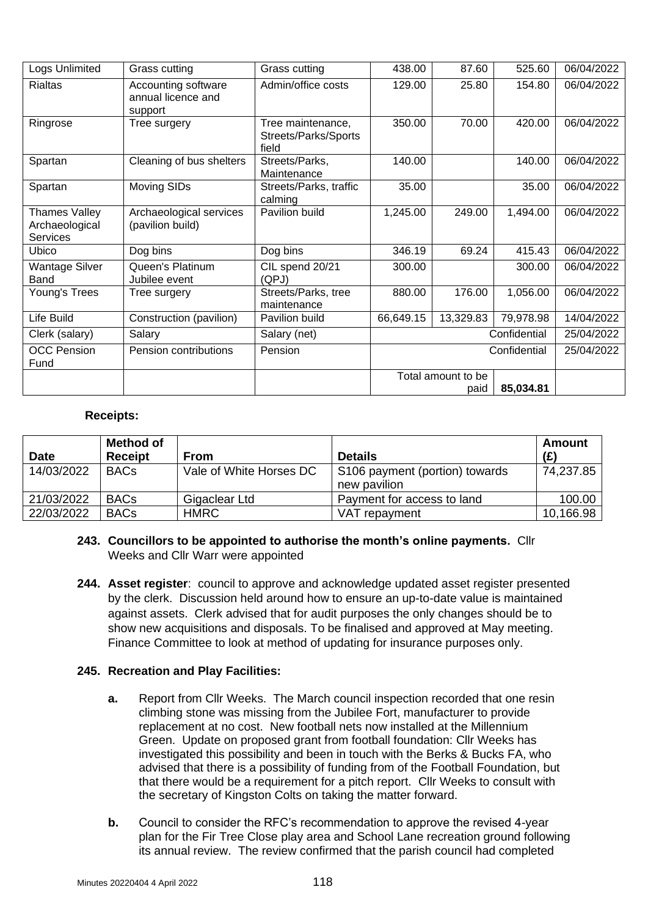| Logs Unlimited                                     | Grass cutting                                        | Grass cutting                                      | 438.00                                  | 87.60           | 525.60    | 06/04/2022 |
|----------------------------------------------------|------------------------------------------------------|----------------------------------------------------|-----------------------------------------|-----------------|-----------|------------|
| Rialtas                                            | Accounting software<br>annual licence and<br>support | Admin/office costs                                 | 129.00                                  | 25.80<br>154.80 |           | 06/04/2022 |
| Ringrose                                           | Tree surgery                                         | Tree maintenance,<br>Streets/Parks/Sports<br>field | 350.00                                  | 420.00<br>70.00 |           | 06/04/2022 |
| Spartan                                            | Cleaning of bus shelters                             | Streets/Parks,<br>Maintenance                      | 140.00                                  |                 | 140.00    | 06/04/2022 |
| Spartan                                            | Moving SIDs                                          | Streets/Parks, traffic<br>calming                  | 35.00                                   |                 | 35.00     | 06/04/2022 |
| Thames Valley<br>Archaeological<br><b>Services</b> | Archaeological services<br>(pavilion build)          | Pavilion build                                     | 1,245.00                                | 249.00          | 1,494.00  | 06/04/2022 |
| Ubico                                              | Dog bins                                             | Dog bins                                           | 346.19                                  | 69.24           | 415.43    | 06/04/2022 |
| <b>Wantage Silver</b><br>Band                      | Queen's Platinum<br>Jubilee event                    | CIL spend 20/21<br>(QPJ)                           | 300.00                                  |                 | 300.00    | 06/04/2022 |
| Young's Trees                                      | Tree surgery                                         | Streets/Parks, tree<br>maintenance                 | 880.00                                  | 176.00          | 1,056.00  | 06/04/2022 |
| Life Build                                         | Construction (pavilion)                              | Pavilion build                                     | 66,649.15                               | 13,329.83       | 79,978.98 | 14/04/2022 |
| Clerk (salary)                                     | Salary                                               | Salary (net)                                       | Confidential                            |                 |           | 25/04/2022 |
| <b>OCC Pension</b><br>Fund                         | Pension contributions                                | Pension                                            | Confidential                            |                 |           | 25/04/2022 |
|                                                    |                                                      |                                                    | Total amount to be<br>85,034.81<br>paid |                 |           |            |

## **Receipts:**

| <b>Date</b> | <b>Method of</b><br><b>Receipt</b> | <b>From</b>             | <b>Details</b>                                 | Amount<br>(E) |
|-------------|------------------------------------|-------------------------|------------------------------------------------|---------------|
| 14/03/2022  | <b>BACs</b>                        | Vale of White Horses DC | S106 payment (portion) towards<br>new pavilion | 74,237.85     |
| 21/03/2022  | <b>BACs</b>                        | Gigaclear Ltd           | Payment for access to land                     | 100.00        |
| 22/03/2022  | <b>BACs</b>                        | <b>HMRC</b>             | VAT repayment                                  | 10,166.98     |

# **243. Councillors to be appointed to authorise the month's online payments.** Cllr Weeks and Cllr Warr were appointed

**244. Asset register**: council to approve and acknowledge updated asset register presented by the clerk. Discussion held around how to ensure an up-to-date value is maintained against assets. Clerk advised that for audit purposes the only changes should be to show new acquisitions and disposals. To be finalised and approved at May meeting. Finance Committee to look at method of updating for insurance purposes only.

# **245. Recreation and Play Facilities:**

- **a.** Report from Cllr Weeks. The March council inspection recorded that one resin climbing stone was missing from the Jubilee Fort, manufacturer to provide replacement at no cost. New football nets now installed at the Millennium Green. Update on proposed grant from football foundation: Cllr Weeks has investigated this possibility and been in touch with the Berks & Bucks FA, who advised that there is a possibility of funding from of the Football Foundation, but that there would be a requirement for a pitch report. Cllr Weeks to consult with the secretary of Kingston Colts on taking the matter forward.
- **b.** Council to consider the RFC's recommendation to approve the revised 4-year plan for the Fir Tree Close play area and School Lane recreation ground following its annual review. The review confirmed that the parish council had completed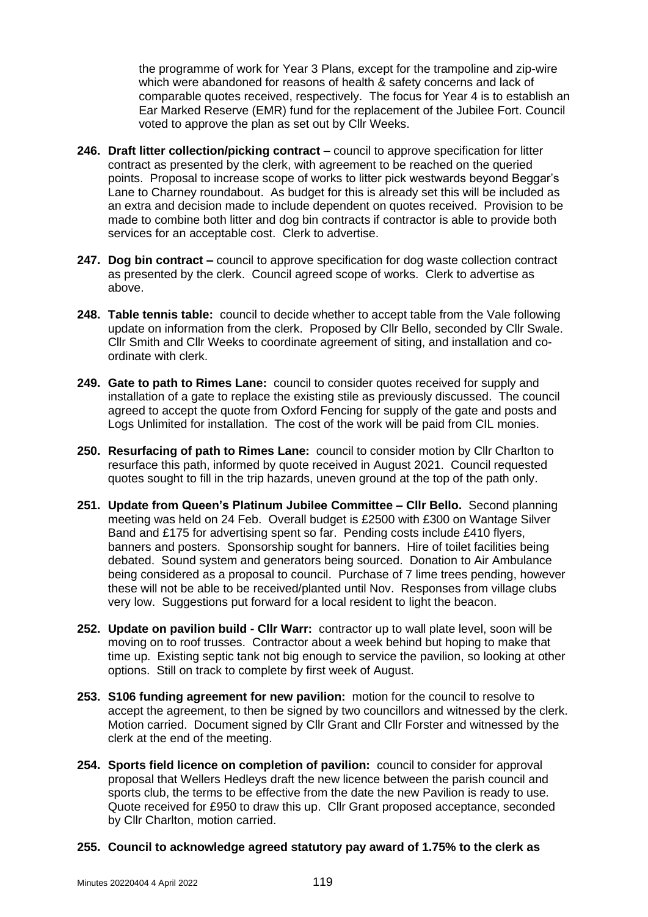the programme of work for Year 3 Plans, except for the trampoline and zip-wire which were abandoned for reasons of health & safety concerns and lack of comparable quotes received, respectively. The focus for Year 4 is to establish an Ear Marked Reserve (EMR) fund for the replacement of the Jubilee Fort. Council voted to approve the plan as set out by Cllr Weeks.

- **246. Draft litter collection/picking contract –** council to approve specification for litter contract as presented by the clerk, with agreement to be reached on the queried points. Proposal to increase scope of works to litter pick westwards beyond Beggar's Lane to Charney roundabout. As budget for this is already set this will be included as an extra and decision made to include dependent on quotes received. Provision to be made to combine both litter and dog bin contracts if contractor is able to provide both services for an acceptable cost. Clerk to advertise.
- **247. Dog bin contract –** council to approve specification for dog waste collection contract as presented by the clerk. Council agreed scope of works. Clerk to advertise as above.
- **248. Table tennis table:** council to decide whether to accept table from the Vale following update on information from the clerk. Proposed by Cllr Bello, seconded by Cllr Swale. Cllr Smith and Cllr Weeks to coordinate agreement of siting, and installation and coordinate with clerk.
- **249. Gate to path to Rimes Lane:** council to consider quotes received for supply and installation of a gate to replace the existing stile as previously discussed. The council agreed to accept the quote from Oxford Fencing for supply of the gate and posts and Logs Unlimited for installation. The cost of the work will be paid from CIL monies.
- **250. Resurfacing of path to Rimes Lane:** council to consider motion by Cllr Charlton to resurface this path, informed by quote received in August 2021. Council requested quotes sought to fill in the trip hazards, uneven ground at the top of the path only.
- **251. Update from Queen's Platinum Jubilee Committee – Cllr Bello.** Second planning meeting was held on 24 Feb. Overall budget is £2500 with £300 on Wantage Silver Band and £175 for advertising spent so far. Pending costs include £410 flyers, banners and posters. Sponsorship sought for banners. Hire of toilet facilities being debated. Sound system and generators being sourced. Donation to Air Ambulance being considered as a proposal to council. Purchase of 7 lime trees pending, however these will not be able to be received/planted until Nov. Responses from village clubs very low. Suggestions put forward for a local resident to light the beacon.
- **252. Update on pavilion build - Cllr Warr:** contractor up to wall plate level, soon will be moving on to roof trusses. Contractor about a week behind but hoping to make that time up. Existing septic tank not big enough to service the pavilion, so looking at other options. Still on track to complete by first week of August.
- **253. S106 funding agreement for new pavilion:** motion for the council to resolve to accept the agreement, to then be signed by two councillors and witnessed by the clerk. Motion carried. Document signed by Cllr Grant and Cllr Forster and witnessed by the clerk at the end of the meeting.
- **254. Sports field licence on completion of pavilion:** council to consider for approval proposal that Wellers Hedleys draft the new licence between the parish council and sports club, the terms to be effective from the date the new Pavilion is ready to use. Quote received for £950 to draw this up. Cllr Grant proposed acceptance, seconded by Cllr Charlton, motion carried.
- **255. Council to acknowledge agreed statutory pay award of 1.75% to the clerk as**